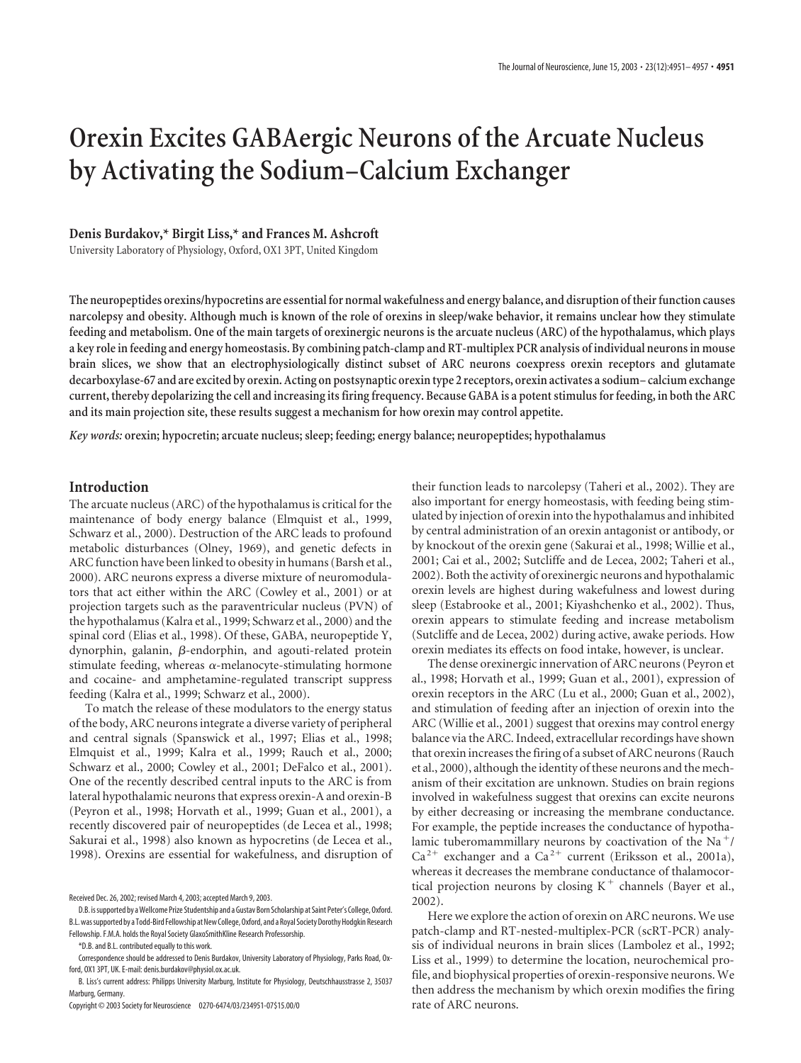# **Orexin Excites GABAergic Neurons of the Arcuate Nucleus by Activating the Sodium–Calcium Exchanger**

## **Denis Burdakov,\* Birgit Liss,\* and Frances M. Ashcroft**

University Laboratory of Physiology, Oxford, OX1 3PT, United Kingdom

**The neuropeptides orexins/hypocretins are essential for normal wakefulness and energy balance, and disruption of their function causes narcolepsy and obesity. Although much is known of the role of orexins in sleep/wake behavior, it remains unclear how they stimulate feeding and metabolism. One of the main targets of orexinergic neurons is the arcuate nucleus (ARC) of the hypothalamus, which plays a key role in feeding and energy homeostasis. By combining patch-clamp and RT-multiplex PCR analysis of individual neurons in mouse brain slices, we show that an electrophysiologically distinct subset of ARC neurons coexpress orexin receptors and glutamate decarboxylase-67 and are excited by orexin. Acting on postsynaptic orexin type 2 receptors, orexin activates a sodium– calcium exchange current, thereby depolarizing the cell and increasing its firing frequency. Because GABA is a potent stimulus for feeding, in both the ARC and its main projection site, these results suggest a mechanism for how orexin may control appetite.**

*Key words:* **orexin; hypocretin; arcuate nucleus; sleep; feeding; energy balance; neuropeptides; hypothalamus**

# **Introduction**

The arcuate nucleus (ARC) of the hypothalamus is critical for the maintenance of body energy balance (Elmquist et al., 1999, Schwarz et al., 2000). Destruction of the ARC leads to profound metabolic disturbances (Olney, 1969), and genetic defects in ARC function have been linked to obesity in humans (Barsh et al., 2000). ARC neurons express a diverse mixture of neuromodulators that act either within the ARC (Cowley et al., 2001) or at projection targets such as the paraventricular nucleus (PVN) of the hypothalamus (Kalra et al., 1999; Schwarz et al., 2000) and the spinal cord (Elias et al., 1998). Of these, GABA, neuropeptide Y, dynorphin, galanin,  $\beta$ -endorphin, and agouti-related protein stimulate feeding, whereas  $\alpha$ -melanocyte-stimulating hormone and cocaine- and amphetamine-regulated transcript suppress feeding (Kalra et al., 1999; Schwarz et al., 2000).

To match the release of these modulators to the energy status of the body, ARC neurons integrate a diverse variety of peripheral and central signals (Spanswick et al., 1997; Elias et al., 1998; Elmquist et al., 1999; Kalra et al., 1999; Rauch et al., 2000; Schwarz et al., 2000; Cowley et al., 2001; DeFalco et al., 2001). One of the recently described central inputs to the ARC is from lateral hypothalamic neurons that express orexin-A and orexin-B (Peyron et al., 1998; Horvath et al., 1999; Guan et al., 2001), a recently discovered pair of neuropeptides (de Lecea et al., 1998; Sakurai et al., 1998) also known as hypocretins (de Lecea et al., 1998). Orexins are essential for wakefulness, and disruption of

Copyright © 2003 Society for Neuroscience 0270-6474/03/234951-07\$15.00/0

their function leads to narcolepsy (Taheri et al., 2002). They are also important for energy homeostasis, with feeding being stimulated by injection of orexin into the hypothalamus and inhibited by central administration of an orexin antagonist or antibody, or by knockout of the orexin gene (Sakurai et al., 1998; Willie et al., 2001; Cai et al., 2002; Sutcliffe and de Lecea, 2002; Taheri et al., 2002). Both the activity of orexinergic neurons and hypothalamic orexin levels are highest during wakefulness and lowest during sleep (Estabrooke et al., 2001; Kiyashchenko et al., 2002). Thus, orexin appears to stimulate feeding and increase metabolism (Sutcliffe and de Lecea, 2002) during active, awake periods. How orexin mediates its effects on food intake, however, is unclear.

The dense orexinergic innervation of ARC neurons (Peyron et al., 1998; Horvath et al., 1999; Guan et al., 2001), expression of orexin receptors in the ARC (Lu et al., 2000; Guan et al., 2002), and stimulation of feeding after an injection of orexin into the ARC (Willie et al., 2001) suggest that orexins may control energy balance via the ARC. Indeed, extracellular recordings have shown that orexin increases the firing of a subset of ARC neurons (Rauch et al., 2000), although the identity of these neurons and the mechanism of their excitation are unknown. Studies on brain regions involved in wakefulness suggest that orexins can excite neurons by either decreasing or increasing the membrane conductance. For example, the peptide increases the conductance of hypothalamic tuberomammillary neurons by coactivation of the Na<sup>+</sup>/  $Ca^{2+}$  exchanger and a  $Ca^{2+}$  current (Eriksson et al., 2001a), whereas it decreases the membrane conductance of thalamocortical projection neurons by closing  $K^+$  channels (Bayer et al., 2002).

Here we explore the action of orexin on ARC neurons. We use patch-clamp and RT-nested-multiplex-PCR (scRT-PCR) analysis of individual neurons in brain slices (Lambolez et al., 1992; Liss et al., 1999) to determine the location, neurochemical profile, and biophysical properties of orexin-responsive neurons. We then address the mechanism by which orexin modifies the firing rate of ARC neurons.

Received Dec. 26, 2002; revised March 4, 2003; accepted March 9, 2003.

D.B. is supported by a Wellcome Prize Studentship and a Gustav Born Scholarship at Saint Peter's College, Oxford. B.L. was supported by a Todd-Bird Fellowship at New College, Oxford, and a Royal Society Dorothy Hodgkin Research Fellowship. F.M.A. holds the Royal Society GlaxoSmithKline Research Professorship.

<sup>\*</sup>D.B. and B.L. contributed equally to this work.

Correspondence should be addressed to Denis Burdakov, University Laboratory of Physiology, Parks Road, Oxford, OX1 3PT, UK. E-mail: denis.burdakov@physiol.ox.ac.uk.

B. Liss's current address: Philipps University Marburg, Institute for Physiology, Deutschhausstrasse 2, 35037 Marburg, Germany.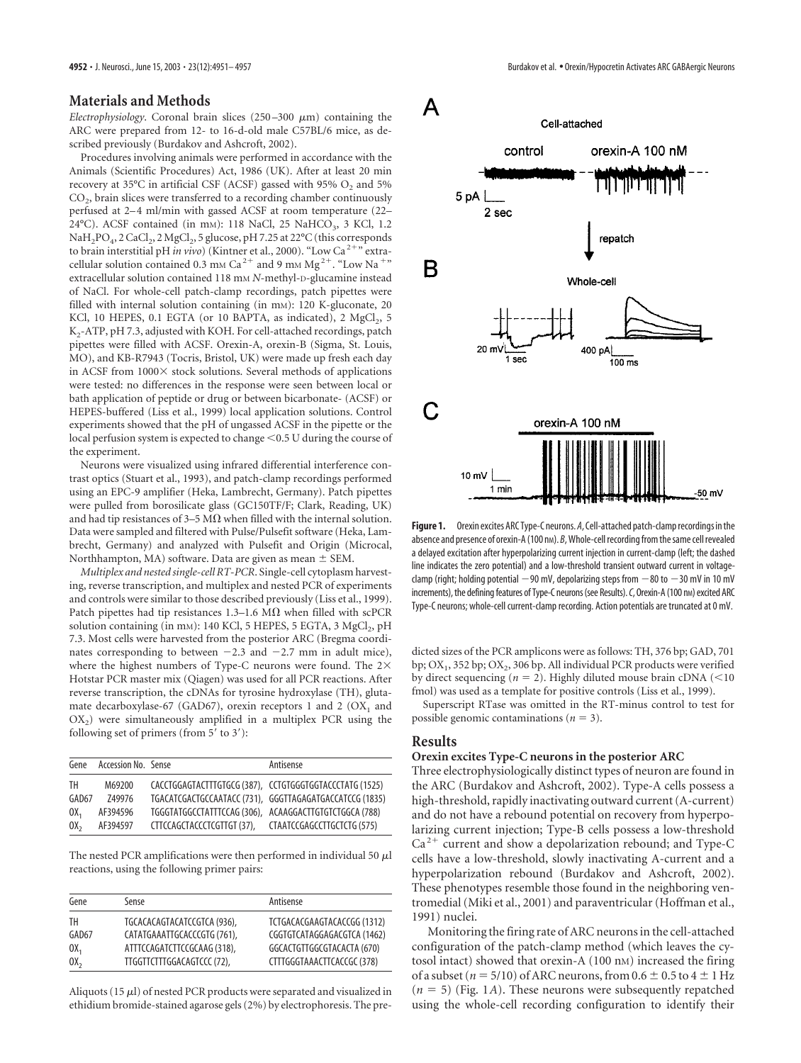# **Materials and Methods**

*Electrophysiology*. Coronal brain slices  $(250-300 \mu m)$  containing the ARC were prepared from 12- to 16-d-old male C57BL/6 mice, as described previously (Burdakov and Ashcroft, 2002).

Procedures involving animals were performed in accordance with the Animals (Scientific Procedures) Act, 1986 (UK). After at least 20 min recovery at 35°C in artificial CSF (ACSF) gassed with 95%  $O_2$  and 5%  $CO<sub>2</sub>$ , brain slices were transferred to a recording chamber continuously perfused at 2-4 ml/min with gassed ACSF at room temperature (22-24°C). ACSF contained (in mm): 118 NaCl, 25 NaHCO<sub>3</sub>, 3 KCl, 1.2 NaH<sub>2</sub>PO<sub>4</sub>, 2 CaCl<sub>2</sub>, 2 MgCl<sub>2</sub>, 5 glucose, pH 7.25 at 22°C (this corresponds to brain interstitial pH *in vivo*) (Kintner et al., 2000). "Low Ca<sup>2+</sup>" extracellular solution contained 0.3 mm Ca<sup>2+</sup> and 9 mm Mg<sup>2+</sup>. "Low Na<sup>+"</sup> extracellular solution contained 118 mm N-methyl-D-glucamine instead of NaCl. For whole-cell patch-clamp recordings, patch pipettes were filled with internal solution containing (in mm): 120 K-gluconate, 20 KCl, 10 HEPES, 0.1 EGTA (or 10 BAPTA, as indicated), 2  $MgCl<sub>2</sub>$ , 5 K<sub>2</sub>-ATP, pH 7.3, adjusted with KOH. For cell-attached recordings, patch pipettes were filled with ACSF. Orexin-A, orexin-B (Sigma, St. Louis, MO), and KB-R7943 (Tocris, Bristol, UK) were made up fresh each day in ACSF from  $1000 \times$  stock solutions. Several methods of applications were tested: no differences in the response were seen between local or bath application of peptide or drug or between bicarbonate- (ACSF) or HEPES-buffered (Liss et al., 1999) local application solutions. Control experiments showed that the pH of ungassed ACSF in the pipette or the local perfusion system is expected to change  $\leq$  0.5 U during the course of the experiment.

Neurons were visualized using infrared differential interference contrast optics (Stuart et al., 1993), and patch-clamp recordings performed using an EPC-9 amplifier (Heka, Lambrecht, Germany). Patch pipettes were pulled from borosilicate glass (GC150TF/F; Clark, Reading, UK) and had tip resistances of 3–5 M $\Omega$  when filled with the internal solution. Data were sampled and filtered with Pulse/Pulsefit software (Heka, Lambrecht, Germany) and analyzed with Pulsefit and Origin (Microcal, Northhampton, MA) software. Data are given as mean  $\pm$  SEM.

*Multiplex and nested single-cell RT-PCR*. Single-cell cytoplasm harvesting, reverse transcription, and multiplex and nested PCR of experiments and controls were similar to those described previously (Liss et al., 1999). Patch pipettes had tip resistances 1.3–1.6 M $\Omega$  when filled with scPCR solution containing (in mm): 140 KCl, 5 HEPES, 5 EGTA, 3 MgCl<sub>2</sub>, pH 7.3. Most cells were harvested from the posterior ARC (Bregma coordinates corresponding to between  $-2.3$  and  $-2.7$  mm in adult mice), where the highest numbers of Type-C neurons were found. The  $2\times$ Hotstar PCR master mix (Qiagen) was used for all PCR reactions. After reverse transcription, the cDNAs for tyrosine hydroxylase (TH), glutamate decarboxylase-67 (GAD67), orexin receptors 1 and 2 ( $OX<sub>1</sub>$  and  $OX<sub>2</sub>$ ) were simultaneously amplified in a multiplex PCR using the following set of primers (from  $5'$  to  $3'$ ):

| Gene     | Accession No. Sense |                                                        | Antisense                                               |
|----------|---------------------|--------------------------------------------------------|---------------------------------------------------------|
| TH.      | M69200              |                                                        | CACCTGGAGTACTTTGTGCG (387), CCTGTGGGTGGTACCCTATG (1525) |
| GAD67    | Z49976              |                                                        | TGACATCGACTGCCAATACC (731), GGGTTAGAGATGACCATCCG (1835) |
| $0X_1$   | AF394596            | TGGGTATGGCCTATTTCCAG (306), ACAAGGACTTGTGTCTGGCA (788) |                                                         |
| $0X_{2}$ | AF394597            | CTTCCAGCTACCCTCGTTGT(37),                              | CTAATCCGAGCCTTGCTCTG (575)                              |

The nested PCR amplifications were then performed in individual 50  $\mu$ l reactions, using the following primer pairs:

| Gene   | Sense                       | Antisense                   |
|--------|-----------------------------|-----------------------------|
| TН     | TGCACACAGTACATCCGTCA (936), | TCTGACACGAAGTACACCGG (1312) |
| GAD67  | CATATGAAATTGCACCCGTG (761), | CGGTGTCATAGGAGACGTCA (1462) |
| $0X_1$ | ATTTCCAGATCTTCCGCAAG (318), | GGCACTGTTGGCGTACACTA (670)  |
| $0X_2$ | TTGGTTCTTTGGACAGTCCC (72),  | CTTTGGGTAAACTTCACCGC (378)  |

Aliquots (15  $\mu$ l) of nested PCR products were separated and visualized in ethidium bromide-stained agarose gels (2%) by electrophoresis. The pre-



**Figure 1.** Orexin excites ARC Type-C neurons. *A*, Cell-attached patch-clamp recordings in the absence and presence of orexin-A (100 nm). *B*, Whole-cell recording from the same cell revealed a delayed excitation after hyperpolarizing current injection in current-clamp (left; the dashed line indicates the zero potential) and a low-threshold transient outward current in voltageclamp (right; holding potential  $-90$  mV, depolarizing steps from  $-80$  to  $-30$  mV in 10 mV increments), the defining features of Type-C neurons (see Results). C, Orexin-A (100 nm) excited ARC Type-C neurons; whole-cell current-clamp recording. Action potentials are truncated at 0 mV.

dicted sizes of the PCR amplicons were as follows: TH, 376 bp; GAD, 701 bp;  $OX_1$ , 352 bp;  $OX_2$ , 306 bp. All individual PCR products were verified by direct sequencing ( $n = 2$ ). Highly diluted mouse brain cDNA (<10) fmol) was used as a template for positive controls (Liss et al., 1999).

Superscript RTase was omitted in the RT-minus control to test for possible genomic contaminations  $(n = 3)$ .

#### **Results**

## **Orexin excites Type-C neurons in the posterior ARC**

Three electrophysiologically distinct types of neuron are found in the ARC (Burdakov and Ashcroft, 2002). Type-A cells possess a high-threshold, rapidly inactivating outward current (A-current) and do not have a rebound potential on recovery from hyperpolarizing current injection; Type-B cells possess a low-threshold  $Ca<sup>2+</sup>$  current and show a depolarization rebound; and Type-C cells have a low-threshold, slowly inactivating A-current and a hyperpolarization rebound (Burdakov and Ashcroft, 2002). These phenotypes resemble those found in the neighboring ventromedial (Miki et al., 2001) and paraventricular (Hoffman et al., 1991) nuclei.

Monitoring the firing rate of ARC neurons in the cell-attached configuration of the patch-clamp method (which leaves the cytosol intact) showed that orexin-A (100 nM) increased the firing of a subset ( $n = 5/10$ ) of ARC neurons, from  $0.6 \pm 0.5$  to  $4 \pm 1$  Hz  $(n = 5)$  (Fig. 1*A*). These neurons were subsequently repatched using the whole-cell recording configuration to identify their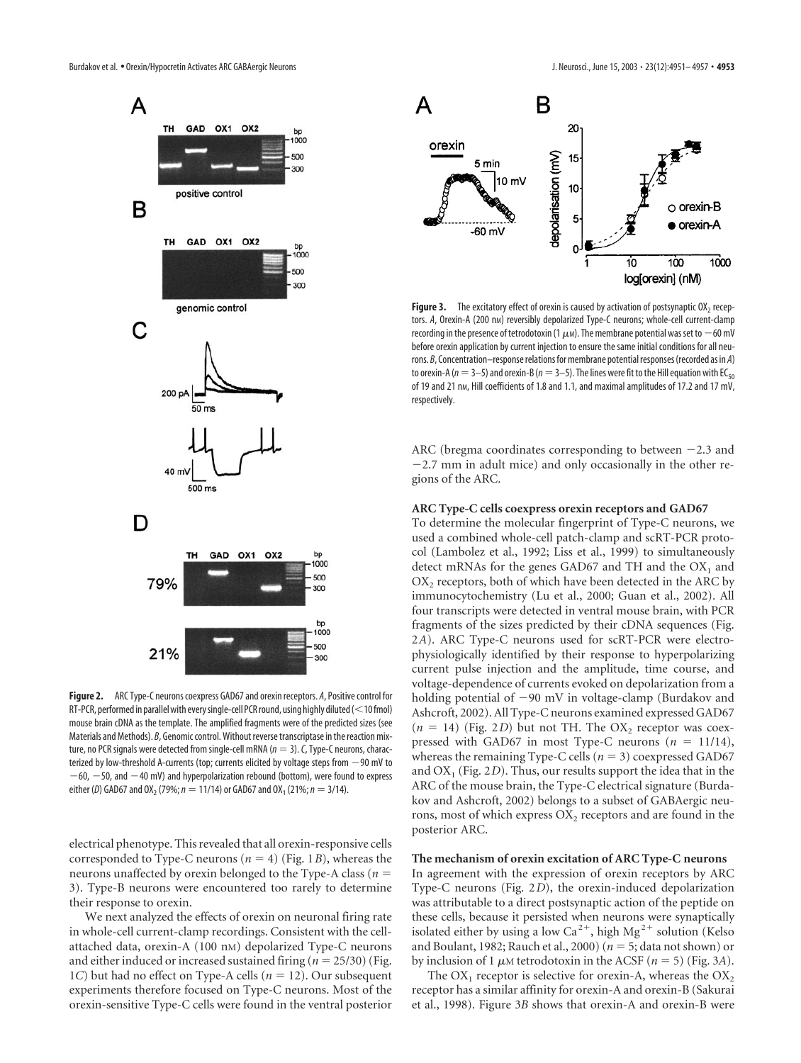

**Figure 2.** ARC Type-C neurons coexpress GAD67 and orexin receptors. *A*, Positive control for RT-PCR, performed in parallel with every single-cell PCR round, using highly diluted ( $<$  10 fmol) mouse brain cDNA as the template. The amplified fragments were of the predicted sizes (see Materials and Methods). *B*, Genomic control. Without reverse transcriptase in the reaction mixture, no PCR signals were detected from single-cell mRNA  $(n = 3)$ . C, Type-C neurons, characterized by low-threshold A-currents (top; currents elicited by voltage steps from  $-90$  mV to  $-60$ ,  $-50$ , and  $-40$  mV) and hyperpolarization rebound (bottom), were found to express either (*D*) GAD67 and OX<sub>2</sub> (79%;  $n = 11/14$ ) or GAD67 and OX<sub>1</sub> (21%;  $n = 3/14$ ).

electrical phenotype. This revealed that all orexin-responsive cells corresponded to Type-C neurons ( $n = 4$ ) (Fig. 1*B*), whereas the neurons unaffected by orexin belonged to the Type-A class (*n* 3). Type-B neurons were encountered too rarely to determine their response to orexin.

We next analyzed the effects of orexin on neuronal firing rate in whole-cell current-clamp recordings. Consistent with the cellattached data, orexin-A (100 nM) depolarized Type-C neurons and either induced or increased sustained firing  $(n = 25/30)$  (Fig. 1*C*) but had no effect on Type-A cells ( $n = 12$ ). Our subsequent experiments therefore focused on Type-C neurons. Most of the orexin-sensitive Type-C cells were found in the ventral posterior



**Figure 3.** The excitatory effect of orexin is caused by activation of postsynaptic  $0X_2$  receptors. A, Orexin-A (200 nm) reversibly depolarized Type-C neurons; whole-cell current-clamp recording in the presence of tetrodotoxin (1  $\mu$ m). The membrane potential was set to  $-60$  mV before orexin application by current injection to ensure the same initial conditions for all neurons. *B*, Concentration–response relations for membrane potential responses (recorded as in *A*) to orexin-A ( $n=3-5$ ) and orexin-B ( $n=3-5$ ). The lines were fit to the Hill equation with EC<sub>50</sub> of 19 and 21 nm, Hill coefficients of 1.8 and 1.1, and maximal amplitudes of 17.2 and 17 mV, respectively.

ARC (bregma coordinates corresponding to between  $-2.3$  and  $-2.7$  mm in adult mice) and only occasionally in the other regions of the ARC.

#### **ARC Type-C cells coexpress orexin receptors and GAD67**

To determine the molecular fingerprint of Type-C neurons, we used a combined whole-cell patch-clamp and scRT-PCR protocol (Lambolez et al., 1992; Liss et al., 1999) to simultaneously detect mRNAs for the genes GAD67 and TH and the  $OX_1$  and OX<sub>2</sub> receptors, both of which have been detected in the ARC by immunocytochemistry (Lu et al., 2000; Guan et al., 2002). All four transcripts were detected in ventral mouse brain, with PCR fragments of the sizes predicted by their cDNA sequences (Fig. 2*A*). ARC Type-C neurons used for scRT-PCR were electrophysiologically identified by their response to hyperpolarizing current pulse injection and the amplitude, time course, and voltage-dependence of currents evoked on depolarization from a holding potential of  $-90$  mV in voltage-clamp (Burdakov and Ashcroft, 2002). All Type-C neurons examined expressed GAD67  $(n = 14)$  (Fig. 2*D*) but not TH. The OX<sub>2</sub> receptor was coexpressed with GAD67 in most Type-C neurons  $(n = 11/14)$ , whereas the remaining Type-C cells  $(n = 3)$  coexpressed GAD67 and  $OX<sub>1</sub>$  (Fig. 2*D*). Thus, our results support the idea that in the ARC of the mouse brain, the Type-C electrical signature (Burdakov and Ashcroft, 2002) belongs to a subset of GABAergic neurons, most of which express  $OX_2$  receptors and are found in the posterior ARC.

#### **The mechanism of orexin excitation of ARC Type-C neurons**

In agreement with the expression of orexin receptors by ARC Type-C neurons (Fig. 2*D*), the orexin-induced depolarization was attributable to a direct postsynaptic action of the peptide on these cells, because it persisted when neurons were synaptically isolated either by using a low Ca<sup>2+</sup>, high Mg<sup>2+</sup> solution (Kelso and Boulant, 1982; Rauch et al., 2000) ( $n = 5$ ; data not shown) or by inclusion of 1  $\mu$ M tetrodotoxin in the ACSF ( $n = 5$ ) (Fig. 3*A*).

The  $OX_1$  receptor is selective for orexin-A, whereas the  $OX_2$ receptor has a similar affinity for orexin-A and orexin-B (Sakurai et al., 1998). Figure 3*B* shows that orexin-A and orexin-B were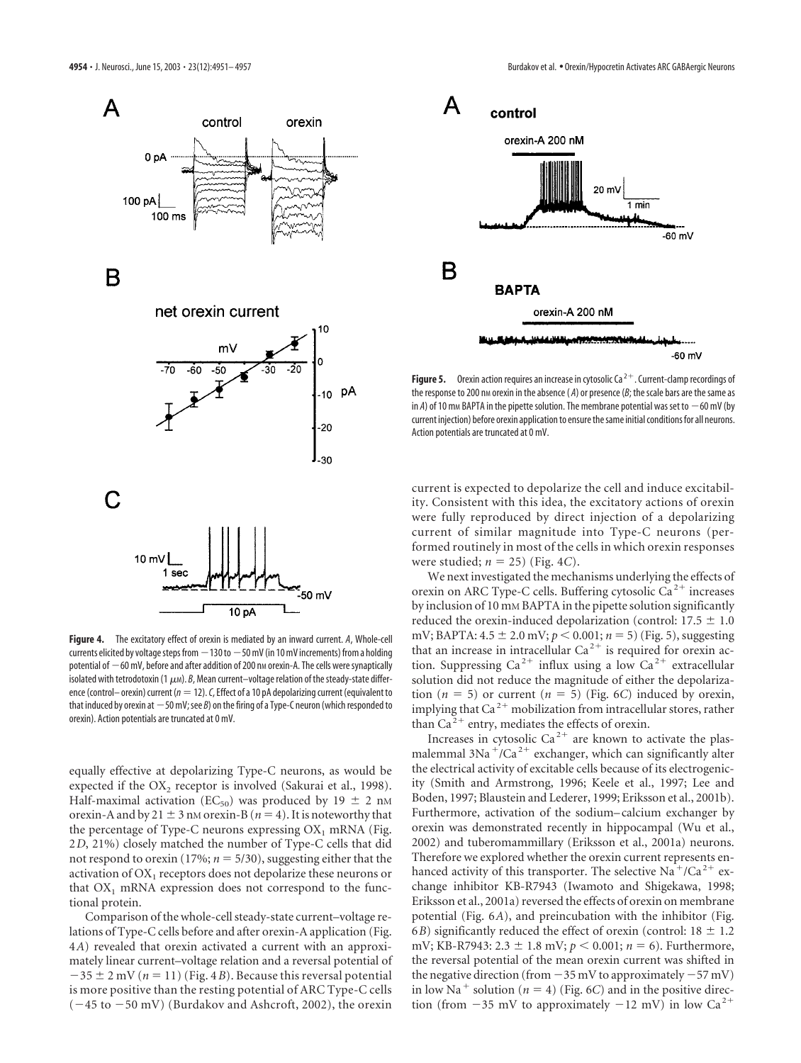

**Figure 4.** The excitatory effect of orexin is mediated by an inward current. *A*, Whole-cell currents elicited by voltage steps from  $-130$  to  $-50$  mV (in 10 mV increments) from a holding potential of  $-60$  mV, before and after addition of 200 nm orexin-A. The cells were synaptically isolated with tetrodotoxin (1 $\mu$ m). *B*, Mean current–voltage relation of the steady-state difference (control– orexin) current (*n*12).*C*, Effect of a 10 pA depolarizing current (equivalent to that induced by orexin at  $-50$  mV; see *B*) on the firing of a Type-C neuron (which responded to orexin). Action potentials are truncated at 0 mV.

equally effective at depolarizing Type-C neurons, as would be expected if the OX<sub>2</sub> receptor is involved (Sakurai et al., 1998). Half-maximal activation (EC<sub>50</sub>) was produced by 19  $\pm$  2 nm orexin-A and by 21  $\pm$  3 nM orexin-B ( $n = 4$ ). It is noteworthy that the percentage of Type-C neurons expressing  $OX_1$  mRNA (Fig. 2*D*, 21%) closely matched the number of Type-C cells that did not respond to orexin (17%;  $n = 5/30$ ), suggesting either that the activation of  $OX_1$  receptors does not depolarize these neurons or that  $OX_1$  mRNA expression does not correspond to the functional protein.

Comparison of the whole-cell steady-state current–voltage relations of Type-C cells before and after orexin-A application (Fig. 4*A*) revealed that orexin activated a current with an approximately linear current–voltage relation and a reversal potential of  $-35 \pm 2$  mV ( $n = 11$ ) (Fig. 4*B*). Because this reversal potential is more positive than the resting potential of ARC Type-C cells  $(-45$  to  $-50$  mV) (Burdakov and Ashcroft, 2002), the orexin



**Figure 5.** Orexin action requires an increase in cytosolic Ca<sup> $2+$ </sup>. Current-clamp recordings of the response to 200 nm orexin in the absence  $(A)$  or presence  $(B;$  the scale bars are the same as in *A*) of 10 mm BAPTA in the pipette solution. The membrane potential was set to  $-60$  mV (by current injection) before orexin application to ensure the same initial conditions for all neurons. Action potentials are truncated at 0 mV.

current is expected to depolarize the cell and induce excitability. Consistent with this idea, the excitatory actions of orexin were fully reproduced by direct injection of a depolarizing current of similar magnitude into Type-C neurons (performed routinely in most of the cells in which orexin responses were studied;  $n = 25$ ) (Fig. 4*C*).

We next investigated the mechanisms underlying the effects of orexin on ARC Type-C cells. Buffering cytosolic  $Ca<sup>2+</sup>$  increases by inclusion of 10 mM BAPTA in the pipette solution significantly reduced the orexin-induced depolarization (control:  $17.5 \pm 1.0$ mV; BAPTA:  $4.5 \pm 2.0$  mV;  $p < 0.001$ ;  $n = 5$ ) (Fig. 5), suggesting that an increase in intracellular  $Ca^{2+}$  is required for orexin action. Suppressing  $Ca^{2+}$  influx using a low  $Ca^{2+}$  extracellular solution did not reduce the magnitude of either the depolarization ( $n = 5$ ) or current ( $n = 5$ ) (Fig. 6*C*) induced by orexin, implying that  $Ca^{2+}$  mobilization from intracellular stores, rather than  $Ca^{2+}$  entry, mediates the effects of orexin.

Increases in cytosolic Ca<sup>2+</sup> are known to activate the plasmalemmal  $3Na^{+}/Ca^{2+}$  exchanger, which can significantly alter the electrical activity of excitable cells because of its electrogenicity (Smith and Armstrong, 1996; Keele et al., 1997; Lee and Boden, 1997; Blaustein and Lederer, 1999; Eriksson et al., 2001b). Furthermore, activation of the sodium–calcium exchanger by orexin was demonstrated recently in hippocampal (Wu et al., 2002) and tuberomammillary (Eriksson et al., 2001a) neurons. Therefore we explored whether the orexin current represents enhanced activity of this transporter. The selective Na<sup>+</sup>/Ca<sup>2+</sup> exchange inhibitor KB-R7943 (Iwamoto and Shigekawa, 1998; Eriksson et al., 2001a) reversed the effects of orexin on membrane potential (Fig. 6*A*), and preincubation with the inhibitor (Fig. 6*B*) significantly reduced the effect of orexin (control:  $18 \pm 1.2$ mV; KB-R7943:  $2.3 \pm 1.8$  mV;  $p < 0.001$ ;  $n = 6$ ). Furthermore, the reversal potential of the mean orexin current was shifted in the negative direction (from  $-35$  mV to approximately  $-57$  mV) in low Na<sup>+</sup> solution ( $n = 4$ ) (Fig. 6*C*) and in the positive direction (from  $-35$  mV to approximately  $-12$  mV) in low Ca<sup>2+</sup>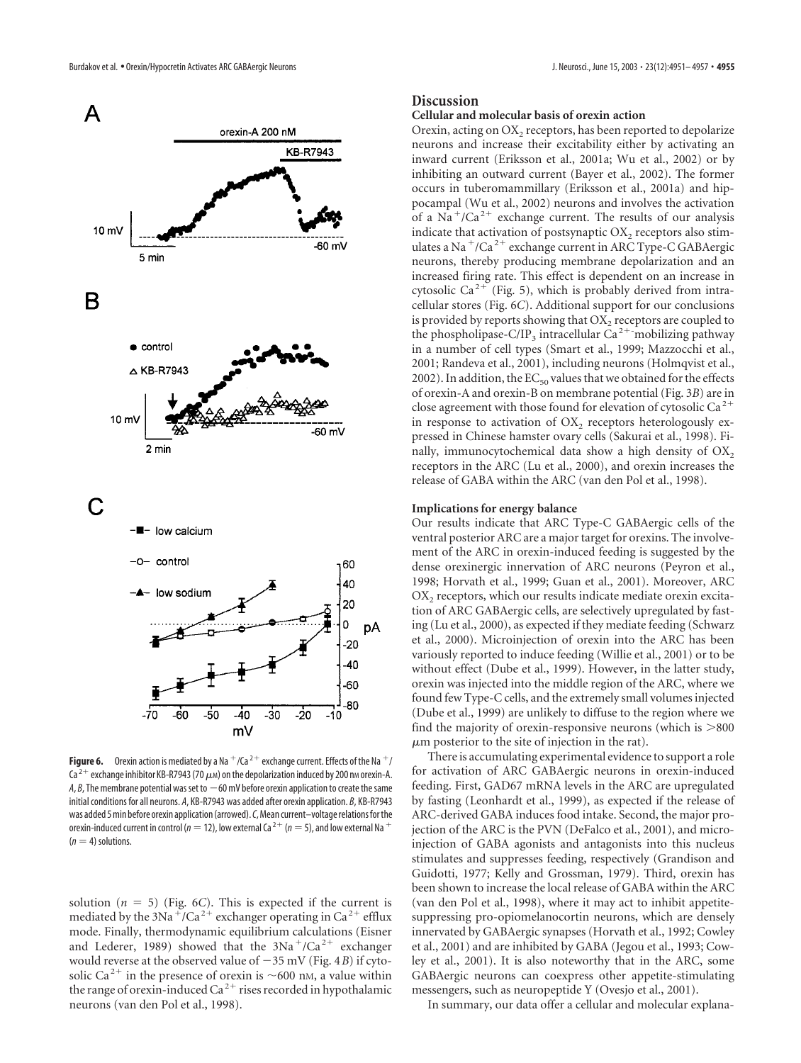

**Figure 6.** Orexin action is mediated by a Na  $^+/$ Ca<sup>2+</sup> exchange current. Effects of the Na  $^+/$ Ca<sup>2+</sup> exchange inhibitor KB-R7943 (70  $\mu$ m) on the depolarization induced by 200 nm orexin-A.  $A$ ,  $B$ , The membrane potential was set to  $-60$  mV before orexin application to create the same initial conditions for all neurons. *A*, KB-R7943 was added after orexin application. *B*, KB-R7943 was added 5 min before orexin application (arrowed).*C*, Mean current–voltage relations for the orexin-induced current in control ( $n=12$ ), low external Ca<sup>2+</sup> ( $n=5$ ), and low external Na<sup>+</sup>  $(n = 4)$  solutions.

solution  $(n = 5)$  (Fig. 6*C*). This is expected if the current is mediated by the 3Na<sup>+</sup>/Ca<sup>2+</sup> exchanger operating in Ca<sup>2+</sup> efflux mode. Finally, thermodynamic equilibrium calculations (Eisner and Lederer, 1989) showed that the  $3Na<sup>+</sup>/Ca<sup>2+</sup>$  exchanger would reverse at the observed value of  $-35$  mV (Fig. 4*B*) if cytosolic Ca<sup>2+</sup> in the presence of orexin is  $\sim$  600 nm, a value within the range of orexin-induced Ca<sup>2+</sup> rises recorded in hypothalamic neurons (van den Pol et al., 1998).

# **Discussion**

#### **Cellular and molecular basis of orexin action**

Orexin, acting on  $OX_2$  receptors, has been reported to depolarize neurons and increase their excitability either by activating an inward current (Eriksson et al., 2001a; Wu et al., 2002) or by inhibiting an outward current (Bayer et al., 2002). The former occurs in tuberomammillary (Eriksson et al., 2001a) and hippocampal (Wu et al., 2002) neurons and involves the activation of a Na<sup>+</sup>/Ca<sup>2+</sup> exchange current. The results of our analysis indicate that activation of postsynaptic  $OX_2$  receptors also stimulates a Na<sup>+</sup>/Ca<sup>2+</sup> exchange current in ARC Type-C GABAergic neurons, thereby producing membrane depolarization and an increased firing rate. This effect is dependent on an increase in cytosolic Ca<sup>2+</sup> (Fig. 5), which is probably derived from intracellular stores (Fig. 6*C*). Additional support for our conclusions is provided by reports showing that OX<sub>2</sub> receptors are coupled to the phospholipase-C/IP<sub>3</sub> intracellular  $Ca^{2+}$  mobilizing pathway in a number of cell types (Smart et al., 1999; Mazzocchi et al., 2001; Randeva et al., 2001), including neurons (Holmqvist et al., 2002). In addition, the  $EC_{50}$  values that we obtained for the effects of orexin-A and orexin-B on membrane potential (Fig. 3*B*) are in close agreement with those found for elevation of cytosolic  $Ca^{2+}$ in response to activation of  $OX_2$  receptors heterologously expressed in Chinese hamster ovary cells (Sakurai et al., 1998). Finally, immunocytochemical data show a high density of  $OX$ , receptors in the ARC (Lu et al., 2000), and orexin increases the release of GABA within the ARC (van den Pol et al., 1998).

#### **Implications for energy balance**

Our results indicate that ARC Type-C GABAergic cells of the ventral posterior ARC are a major target for orexins. The involvement of the ARC in orexin-induced feeding is suggested by the dense orexinergic innervation of ARC neurons (Peyron et al., 1998; Horvath et al., 1999; Guan et al., 2001). Moreover, ARC  $OX<sub>2</sub>$  receptors, which our results indicate mediate orexin excitation of ARC GABAergic cells, are selectively upregulated by fasting (Lu et al., 2000), as expected if they mediate feeding (Schwarz et al., 2000). Microinjection of orexin into the ARC has been variously reported to induce feeding (Willie et al., 2001) or to be without effect (Dube et al., 1999). However, in the latter study, orexin was injected into the middle region of the ARC, where we found few Type-C cells, and the extremely small volumes injected (Dube et al., 1999) are unlikely to diffuse to the region where we find the majority of orexin-responsive neurons (which is 800  $\mu$ m posterior to the site of injection in the rat).

There is accumulating experimental evidence to support a role for activation of ARC GABAergic neurons in orexin-induced feeding. First, GAD67 mRNA levels in the ARC are upregulated by fasting (Leonhardt et al., 1999), as expected if the release of ARC-derived GABA induces food intake. Second, the major projection of the ARC is the PVN (DeFalco et al., 2001), and microinjection of GABA agonists and antagonists into this nucleus stimulates and suppresses feeding, respectively (Grandison and Guidotti, 1977; Kelly and Grossman, 1979). Third, orexin has been shown to increase the local release of GABA within the ARC (van den Pol et al., 1998), where it may act to inhibit appetitesuppressing pro-opiomelanocortin neurons, which are densely innervated by GABAergic synapses (Horvath et al., 1992; Cowley et al., 2001) and are inhibited by GABA (Jegou et al., 1993; Cowley et al., 2001). It is also noteworthy that in the ARC, some GABAergic neurons can coexpress other appetite-stimulating messengers, such as neuropeptide Y (Ovesjo et al., 2001).

In summary, our data offer a cellular and molecular explana-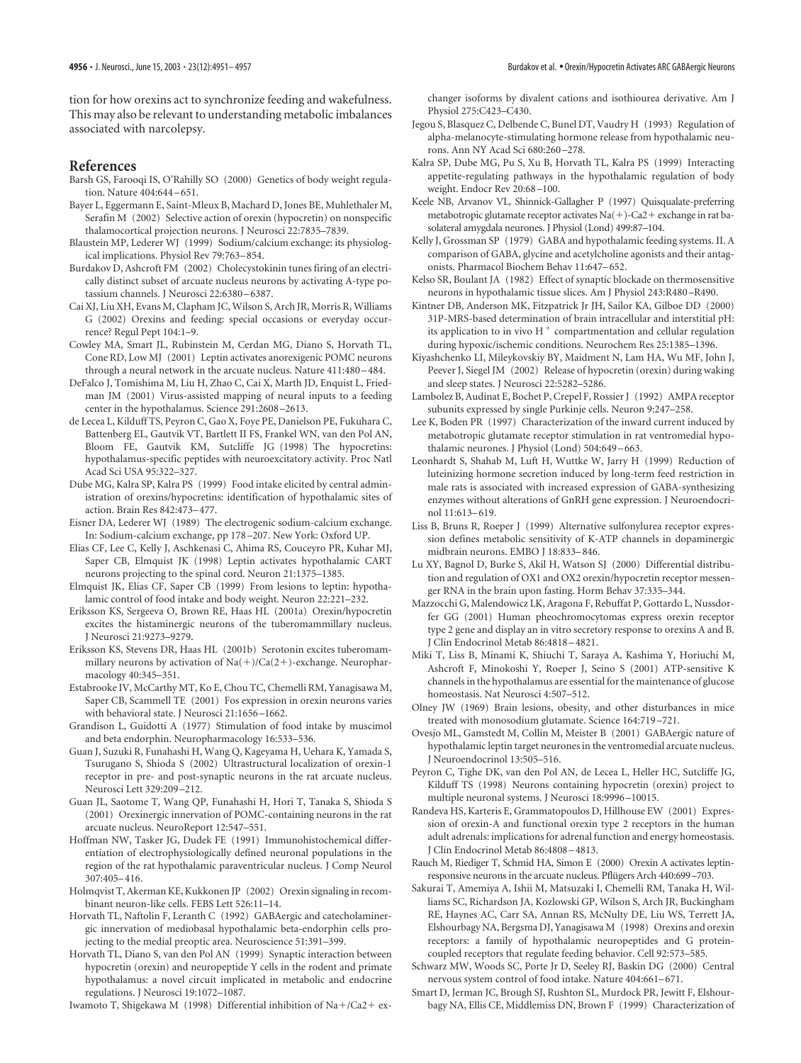tion for how orexins act to synchronize feeding and wakefulness. This may also be relevant to understanding metabolic imbalances associated with narcolepsy.

# **References**

- Barsh GS, Farooqi IS, O'Rahilly SO (2000) Genetics of body weight regulation. Nature 404:644–651.
- Bayer L, Eggermann E, Saint-Mleux B, Machard D, Jones BE, Muhlethaler M, Serafin M (2002) Selective action of orexin (hypocretin) on nonspecific thalamocortical projection neurons. J Neurosci 22:7835–7839.
- Blaustein MP, Lederer WJ (1999) Sodium/calcium exchange: its physiological implications. Physiol Rev 79:763–854.
- Burdakov D, Ashcroft FM (2002) Cholecystokinin tunes firing of an electrically distinct subset of arcuate nucleus neurons by activating A-type potassium channels. J Neurosci 22:6380–6387.
- Cai XJ, Liu XH, Evans M, Clapham JC, Wilson S, Arch JR, Morris R, Williams G (2002) Orexins and feeding: special occasions or everyday occurrence? Regul Pept 104:1–9.
- Cowley MA, Smart JL, Rubinstein M, Cerdan MG, Diano S, Horvath TL, Cone RD, Low MJ (2001) Leptin activates anorexigenic POMC neurons through a neural network in the arcuate nucleus. Nature 411:480–484.
- DeFalco J, Tomishima M, Liu H, Zhao C, Cai X, Marth JD, Enquist L, Friedman JM (2001) Virus-assisted mapping of neural inputs to a feeding center in the hypothalamus. Science 291:2608–2613.
- de Lecea L, Kilduff TS, Peyron C, Gao X, Foye PE, Danielson PE, Fukuhara C, Battenberg EL, Gautvik VT, Bartlett II FS, Frankel WN, van den Pol AN, Bloom FE, Gautvik KM, Sutcliffe JG (1998) The hypocretins: hypothalamus-specific peptides with neuroexcitatory activity. Proc Natl Acad Sci USA 95:322–327.
- Dube MG, Kalra SP, Kalra PS (1999) Food intake elicited by central administration of orexins/hypocretins: identification of hypothalamic sites of action. Brain Res 842:473–477.
- Eisner DA, Lederer WJ (1989) The electrogenic sodium-calcium exchange. In: Sodium-calcium exchange, pp 178–207. New York: Oxford UP.
- Elias CF, Lee C, Kelly J, Aschkenasi C, Ahima RS, Couceyro PR, Kuhar MJ, Saper CB, Elmquist JK (1998) Leptin activates hypothalamic CART neurons projecting to the spinal cord. Neuron 21:1375–1385.
- Elmquist JK, Elias CF, Saper CB (1999) From lesions to leptin: hypothalamic control of food intake and body weight. Neuron 22:221–232.
- Eriksson KS, Sergeeva O, Brown RE, Haas HL (2001a) Orexin/hypocretin excites the histaminergic neurons of the tuberomammillary nucleus. J Neurosci 21:9273–9279.
- Eriksson KS, Stevens DR, Haas HL (2001b) Serotonin excites tuberomammillary neurons by activation of  $Na(+)$ /Ca(2+)-exchange. Neuropharmacology 40:345–351.
- Estabrooke IV, McCarthy MT, Ko E, Chou TC, Chemelli RM, Yanagisawa M, Saper CB, Scammell TE (2001) Fos expression in orexin neurons varies with behavioral state. J Neurosci 21:1656–1662.
- Grandison L, Guidotti A (1977) Stimulation of food intake by muscimol and beta endorphin. Neuropharmacology 16:533–536.
- Guan J, Suzuki R, Funahashi H, Wang Q, Kageyama H, Uehara K, Yamada S, Tsurugano S, Shioda S (2002) Ultrastructural localization of orexin-1 receptor in pre- and post-synaptic neurons in the rat arcuate nucleus. Neurosci Lett 329:209–212.
- Guan JL, Saotome T, Wang QP, Funahashi H, Hori T, Tanaka S, Shioda S (2001) Orexinergic innervation of POMC-containing neurons in the rat arcuate nucleus. NeuroReport 12:547–551.
- Hoffman NW, Tasker JG, Dudek FE (1991) Immunohistochemical differentiation of electrophysiologically defined neuronal populations in the region of the rat hypothalamic paraventricular nucleus. J Comp Neurol 307:405–416.
- Holmqvist T, Akerman KE, Kukkonen JP (2002) Orexin signaling in recombinant neuron-like cells. FEBS Lett 526:11–14.
- Horvath TL, Naftolin F, Leranth C (1992) GABAergic and catecholaminergic innervation of mediobasal hypothalamic beta-endorphin cells projecting to the medial preoptic area. Neuroscience 51:391–399.
- Horvath TL, Diano S, van den Pol AN (1999) Synaptic interaction between hypocretin (orexin) and neuropeptide Y cells in the rodent and primate hypothalamus: a novel circuit implicated in metabolic and endocrine regulations. J Neurosci 19:1072–1087.

Iwamoto T, Shigekawa M (1998) Differential inhibition of Na+/Ca2+ ex-

changer isoforms by divalent cations and isothiourea derivative. Am J Physiol 275:C423–C430.

- Jegou S, Blasquez C, Delbende C, Bunel DT, Vaudry H (1993) Regulation of alpha-melanocyte-stimulating hormone release from hypothalamic neurons. Ann NY Acad Sci 680:260–278.
- Kalra SP, Dube MG, Pu S, Xu B, Horvath TL, Kalra PS (1999) Interacting appetite-regulating pathways in the hypothalamic regulation of body weight. Endocr Rev 20:68–100.
- Keele NB, Arvanov VL, Shinnick-Gallagher P (1997) Quisqualate-preferring metabotropic glutamate receptor activates  $Na(+)$ -Ca2 + exchange in rat basolateral amygdala neurones. J Physiol (Lond) 499:87–104.
- Kelly J, Grossman SP (1979) GABA and hypothalamic feeding systems. II. A comparison of GABA, glycine and acetylcholine agonists and their antagonists. Pharmacol Biochem Behav 11:647–652.
- Kelso SR, Boulant JA (1982) Effect of synaptic blockade on thermosensitive neurons in hypothalamic tissue slices. Am J Physiol 243:R480–R490.
- Kintner DB, Anderson MK, Fitzpatrick Jr JH, Sailor KA, Gilboe DD (2000) 31P-MRS-based determination of brain intracellular and interstitial pH: its application to in vivo  $H^+$  compartmentation and cellular regulation during hypoxic/ischemic conditions. Neurochem Res 25:1385–1396.
- Kiyashchenko LI, Mileykovskiy BY, Maidment N, Lam HA, Wu MF, John J, Peever J, Siegel JM (2002) Release of hypocretin (orexin) during waking and sleep states. J Neurosci 22:5282–5286.
- Lambolez B, Audinat E, Bochet P, Crepel F, Rossier J (1992) AMPA receptor subunits expressed by single Purkinje cells. Neuron 9:247–258.
- Lee K, Boden PR (1997) Characterization of the inward current induced by metabotropic glutamate receptor stimulation in rat ventromedial hypothalamic neurones. J Physiol (Lond) 504:649–663.
- Leonhardt S, Shahab M, Luft H, Wuttke W, Jarry H (1999) Reduction of luteinizing hormone secretion induced by long-term feed restriction in male rats is associated with increased expression of GABA-synthesizing enzymes without alterations of GnRH gene expression. J Neuroendocrinol 11:613–619.
- Liss B, Bruns R, Roeper J (1999) Alternative sulfonylurea receptor expression defines metabolic sensitivity of K-ATP channels in dopaminergic midbrain neurons. EMBO J 18:833–846.
- Lu XY, Bagnol D, Burke S, Akil H, Watson SJ (2000) Differential distribution and regulation of OX1 and OX2 orexin/hypocretin receptor messenger RNA in the brain upon fasting. Horm Behav 37:335–344.
- Mazzocchi G, Malendowicz LK, Aragona F, Rebuffat P, Gottardo L, Nussdorfer GG (2001) Human pheochromocytomas express orexin receptor type 2 gene and display an in vitro secretory response to orexins A and B. J Clin Endocrinol Metab 86:4818–4821.
- Miki T, Liss B, Minami K, Shiuchi T, Saraya A, Kashima Y, Horiuchi M, Ashcroft F, Minokoshi Y, Roeper J, Seino S (2001) ATP-sensitive K channels in the hypothalamus are essential for the maintenance of glucose homeostasis. Nat Neurosci 4:507–512.
- Olney JW (1969) Brain lesions, obesity, and other disturbances in mice treated with monosodium glutamate. Science 164:719–721.
- Ovesjo ML, Gamstedt M, Collin M, Meister B (2001) GABAergic nature of hypothalamic leptin target neurones in the ventromedial arcuate nucleus. J Neuroendocrinol 13:505–516.
- Peyron C, Tighe DK, van den Pol AN, de Lecea L, Heller HC, Sutcliffe JG, Kilduff TS (1998) Neurons containing hypocretin (orexin) project to multiple neuronal systems. J Neurosci 18:9996–10015.
- Randeva HS, Karteris E, Grammatopoulos D, Hillhouse EW (2001) Expression of orexin-A and functional orexin type 2 receptors in the human adult adrenals: implications for adrenal function and energy homeostasis. J Clin Endocrinol Metab 86:4808–4813.
- Rauch M, Riediger T, Schmid HA, Simon E (2000) Orexin A activates leptinresponsive neurons in the arcuate nucleus. Pflügers Arch 440:699-703.
- Sakurai T, Amemiya A, Ishii M, Matsuzaki I, Chemelli RM, Tanaka H, Williams SC, Richardson JA, Kozlowski GP, Wilson S, Arch JR, Buckingham RE, Haynes AC, Carr SA, Annan RS, McNulty DE, Liu WS, Terrett JA, Elshourbagy NA, Bergsma DJ, Yanagisawa M (1998) Orexins and orexin receptors: a family of hypothalamic neuropeptides and G proteincoupled receptors that regulate feeding behavior. Cell 92:573–585.
- Schwarz MW, Woods SC, Porte Jr D, Seeley RJ, Baskin DG (2000) Central nervous system control of food intake. Nature 404:661–671.
- Smart D, Jerman JC, Brough SJ, Rushton SL, Murdock PR, Jewitt F, Elshourbagy NA, Ellis CE, Middlemiss DN, Brown F (1999) Characterization of